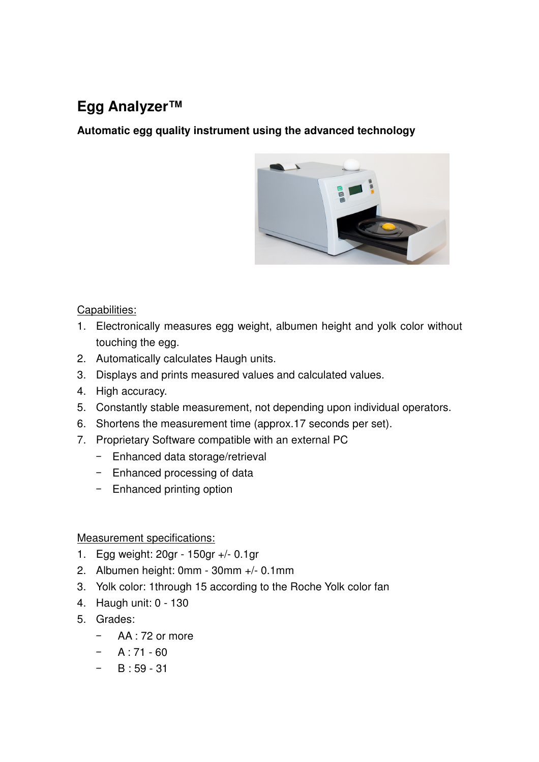## **Egg Analyzer™**

**Automatic egg quality instrument using the advanced technology** 



## Capabilities:

- 1. Electronically measures egg weight, albumen height and yolk color without touching the egg.
- 2. Automatically calculates Haugh units.
- 3. Displays and prints measured values and calculated values.
- 4. High accuracy.
- 5. Constantly stable measurement, not depending upon individual operators.
- 6. Shortens the measurement time (approx.17 seconds per set).
- 7. Proprietary Software compatible with an external PC
	- Enhanced data storage/retrieval
	- Enhanced processing of data
	- Enhanced printing option

## Measurement specifications:

- 1. Egg weight: 20gr 150gr +/- 0.1gr
- 2. Albumen height: 0mm 30mm +/- 0.1mm
- 3. Yolk color: 1through 15 according to the Roche Yolk color fan
- 4. Haugh unit: 0 130
- 5. Grades:
	- AA : 72 or more
	- $A : 71 60$
	- $-$  B : 59 31